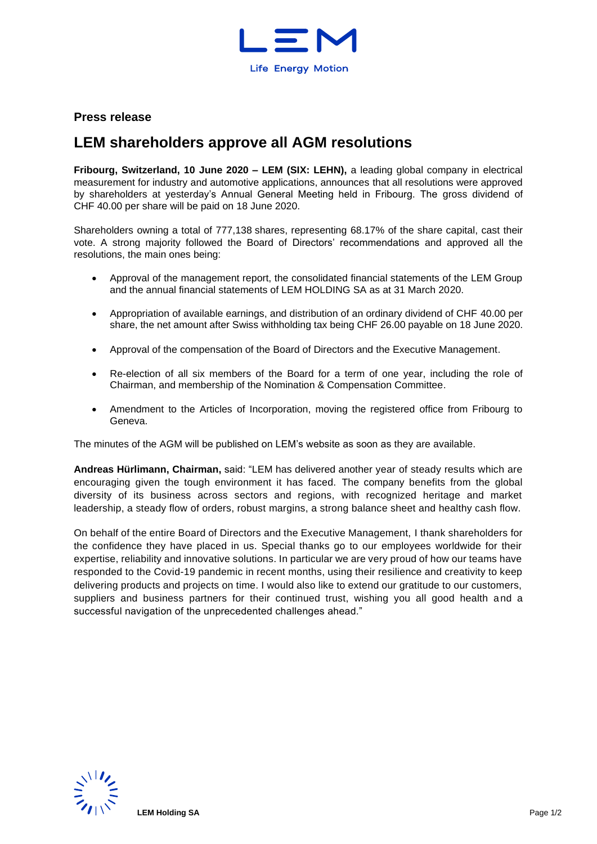

## **Press release**

# **LEM shareholders approve all AGM resolutions**

**Fribourg, Switzerland, 10 June 2020 – LEM (SIX: LEHN),** a leading global company in electrical measurement for industry and automotive applications, announces that all resolutions were approved by shareholders at yesterday's Annual General Meeting held in Fribourg. The gross dividend of CHF 40.00 per share will be paid on 18 June 2020.

Shareholders owning a total of 777,138 shares, representing 68.17% of the share capital, cast their vote. A strong majority followed the Board of Directors' recommendations and approved all the resolutions, the main ones being:

- Approval of the management report, the consolidated financial statements of the LEM Group and the annual financial statements of LEM HOLDING SA as at 31 March 2020.
- Appropriation of available earnings, and distribution of an ordinary dividend of CHF 40.00 per share, the net amount after Swiss withholding tax being CHF 26.00 payable on 18 June 2020.
- Approval of the compensation of the Board of Directors and the Executive Management.
- Re-election of all six members of the Board for a term of one year, including the role of Chairman, and membership of the Nomination & Compensation Committee.
- Amendment to the Articles of Incorporation, moving the registered office from Fribourg to Geneva.

The minutes of the AGM will be published on LEM's website as soon as they are available.

**Andreas Hürlimann, Chairman,** said: "LEM has delivered another year of steady results which are encouraging given the tough environment it has faced. The company benefits from the global diversity of its business across sectors and regions, with recognized heritage and market leadership, a steady flow of orders, robust margins, a strong balance sheet and healthy cash flow.

On behalf of the entire Board of Directors and the Executive Management, I thank shareholders for the confidence they have placed in us. Special thanks go to our employees worldwide for their expertise, reliability and innovative solutions. In particular we are very proud of how our teams have responded to the Covid-19 pandemic in recent months, using their resilience and creativity to keep delivering products and projects on time. I would also like to extend our gratitude to our customers, suppliers and business partners for their continued trust, wishing you all good health and a successful navigation of the unprecedented challenges ahead."